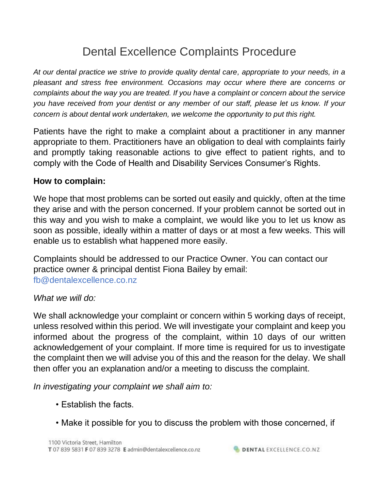# Dental Excellence Complaints Procedure

*At our dental practice we strive to provide quality dental care, appropriate to your needs, in a pleasant and stress free environment. Occasions may occur where there are concerns or complaints about the way you are treated. If you have a complaint or concern about the service you have received from your dentist or any member of our staff, please let us know. If your concern is about dental work undertaken, we welcome the opportunity to put this right.*

Patients have the right to make a complaint about a practitioner in any manner appropriate to them. Practitioners have an obligation to deal with complaints fairly and promptly taking reasonable actions to give effect to patient rights, and to comply with the Code of Health and Disability Services Consumer's Rights.

## **How to complain:**

We hope that most problems can be sorted out easily and quickly, often at the time they arise and with the person concerned. If your problem cannot be sorted out in this way and you wish to make a complaint, we would like you to let us know as soon as possible, ideally within a matter of days or at most a few weeks. This will enable us to establish what happened more easily.

Complaints should be addressed to our Practice Owner. You can contact our practice owner & principal dentist Fiona Bailey by email: fb@dentalexcellence.co.nz

### *What we will do:*

We shall acknowledge your complaint or concern within 5 working days of receipt, unless resolved within this period. We will investigate your complaint and keep you informed about the progress of the complaint, within 10 days of our written acknowledgement of your complaint. If more time is required for us to investigate the complaint then we will advise you of this and the reason for the delay. We shall then offer you an explanation and/or a meeting to discuss the complaint.

*In investigating your complaint we shall aim to:* 

- Establish the facts.
- Make it possible for you to discuss the problem with those concerned, if

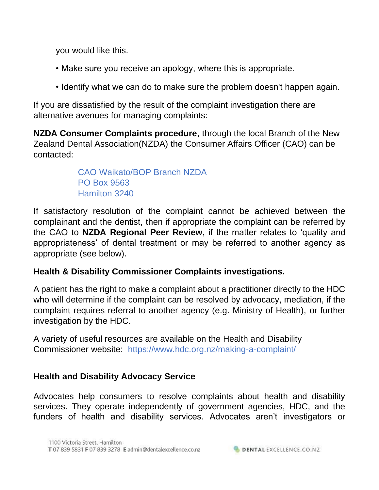you would like this.

- Make sure you receive an apology, where this is appropriate.
- Identify what we can do to make sure the problem doesn't happen again.

If you are dissatisfied by the result of the complaint investigation there are alternative avenues for managing complaints:

**NZDA Consumer Complaints procedure**, through the local Branch of the New Zealand Dental Association(NZDA) the Consumer Affairs Officer (CAO) can be contacted:

> CAO Waikato/BOP Branch NZDA PO Box 9563 Hamilton 3240

If satisfactory resolution of the complaint cannot be achieved between the complainant and the dentist, then if appropriate the complaint can be referred by the CAO to **NZDA Regional Peer Review**, if the matter relates to 'quality and appropriateness' of dental treatment or may be referred to another agency as appropriate (see below).

# **Health & Disability Commissioner Complaints investigations.**

A patient has the right to make a complaint about a practitioner directly to the HDC who will determine if the complaint can be resolved by advocacy, mediation, if the complaint requires referral to another agency (e.g. Ministry of Health), or further investigation by the HDC.

A variety of useful resources are available on the Health and Disability Commissioner website: https://www.hdc.org.nz/making-a-complaint/

# **Health and Disability Advocacy Service**

Advocates help consumers to resolve complaints about health and disability services. They operate independently of government agencies, HDC, and the funders of health and disability services. Advocates aren't investigators or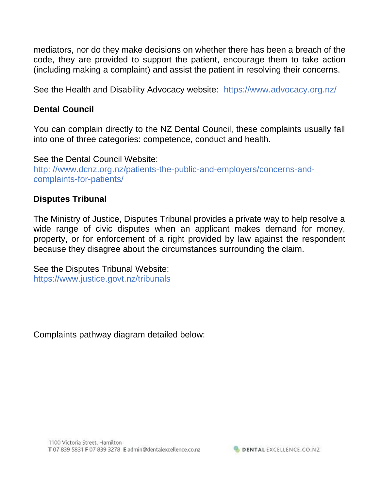mediators, nor do they make decisions on whether there has been a breach of the code, they are provided to support the patient, encourage them to take action (including making a complaint) and assist the patient in resolving their concerns.

See the Health and Disability Advocacy website: https://www.advocacy.org.nz/

#### **Dental Council**

You can complain directly to the NZ Dental Council, these complaints usually fall into one of three categories: competence, conduct and health.

See the Dental Council Website: http: //www.dcnz.org.nz/patients-the-public-and-employers/concerns-andcomplaints-for-patients/

#### **Disputes Tribunal**

The Ministry of Justice, Disputes Tribunal provides a private way to help resolve a wide range of civic disputes when an applicant makes demand for money, property, or for enforcement of a right provided by law against the respondent because they disagree about the circumstances surrounding the claim.

See the Disputes Tribunal Website: https://www.justice.govt.nz/tribunals

Complaints pathway diagram detailed below: